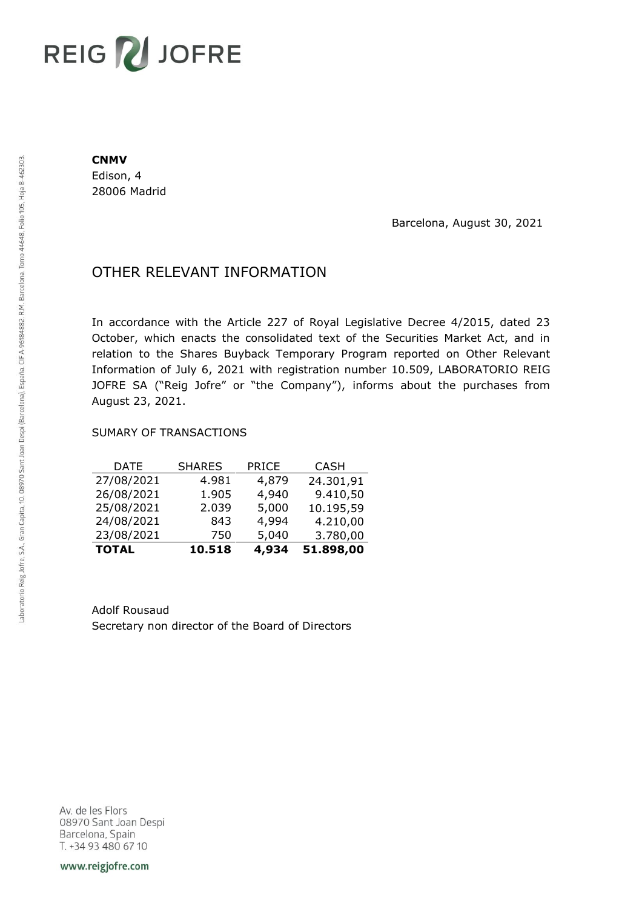# REIG V JOFRE

#### **CNMV**

Edison, 4 28006 Madrid

Barcelona, August 30, 2021

## OTHER RELEVANT INFORMATION

In accordance with the Article 227 of Royal Legislative Decree 4/2015, dated 23 October, which enacts the consolidated text of the Securities Market Act, and in relation to the Shares Buyback Temporary Program reported on Other Relevant Information of July 6, 2021 with registration number 10.509, LABORATORIO REIG JOFRE SA ("Reig Jofre" or "the Company"), informs about the purchases from August 23, 2021.

### SUMARY OF TRANSACTIONS

| <b>TOTAL</b> | 10.518        | 4,934        | 51.898,00   |
|--------------|---------------|--------------|-------------|
| 23/08/2021   | 750           | 5,040        | 3.780,00    |
| 24/08/2021   | 843           | 4,994        | 4.210,00    |
| 25/08/2021   | 2.039         | 5,000        | 10.195,59   |
| 26/08/2021   | 1.905         | 4,940        | 9.410,50    |
| 27/08/2021   | 4.981         | 4,879        | 24.301,91   |
| DATE         | <b>SHARES</b> | <b>PRICE</b> | <b>CASH</b> |

Adolf Rousaud Secretary non director of the Board of Directors

Av. de les Flors 08970 Sant Joan Despi Barcelona, Spain T. +34 93 480 67 10

www.reigjofre.com